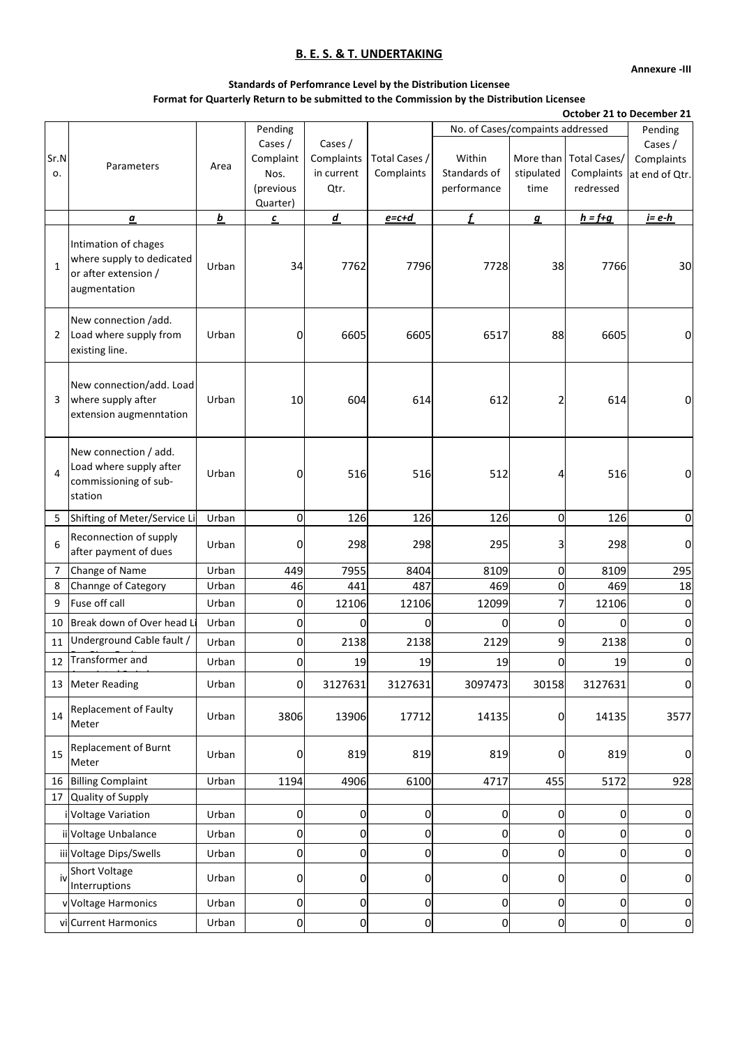**Annexure -III**

## **Standards of Perfomrance Level by the Distribution Licensee Format for Quarterly Return to be submitted to the Commission by the Distribution Licensee**

**October 21 to December 21**

|                |                                                                                           |          | Pending                                               |                                             |                             | No. of Cases/compaints addressed      |                                 |                                         | Pending                                 |
|----------------|-------------------------------------------------------------------------------------------|----------|-------------------------------------------------------|---------------------------------------------|-----------------------------|---------------------------------------|---------------------------------|-----------------------------------------|-----------------------------------------|
| Sr.N<br>0.     | Parameters                                                                                | Area     | Cases /<br>Complaint<br>Nos.<br>(previous<br>Quarter) | Cases /<br>Complaints<br>in current<br>Qtr. | Total Cases /<br>Complaints | Within<br>Standards of<br>performance | More than<br>stipulated<br>time | Total Cases/<br>Complaints<br>redressed | Cases /<br>Complaints<br>at end of Qtr. |
|                | $\underline{a}$                                                                           | <u>b</u> | с                                                     | $\underline{d}$                             | $e = c + d$                 | f                                     | $\mathbf{g}$                    | $h = f + g$                             | $i = e-h$                               |
| $\mathbf{1}$   | Intimation of chages<br>where supply to dedicated<br>or after extension /<br>augmentation | Urban    | 34                                                    | 7762                                        | 7796                        | 7728                                  | 38                              | 7766                                    | 30                                      |
| $\overline{2}$ | New connection /add.<br>Load where supply from<br>existing line.                          | Urban    | 0                                                     | 6605                                        | 6605                        | 6517                                  | 88                              | 6605                                    |                                         |
| 3              | New connection/add. Load<br>where supply after<br>extension augmenntation                 | Urban    | 10                                                    | 604                                         | 614                         | 612                                   | 2                               | 614                                     | 0                                       |
| 4              | New connection / add.<br>Load where supply after<br>commissioning of sub-<br>station      | Urban    | 0                                                     | 516                                         | 516                         | 512                                   | 4                               | 516                                     | 0                                       |
| 5              | Shifting of Meter/Service Li                                                              | Urban    | $\overline{0}$                                        | 126                                         | 126                         | 126                                   | <sub>0</sub>                    | 126                                     | 0                                       |
| 6              | Reconnection of supply<br>after payment of dues                                           | Urban    | 0                                                     | 298                                         | 298                         | 295                                   | 3                               | 298                                     | O                                       |
| $\overline{7}$ | Change of Name                                                                            | Urban    | 449                                                   | 7955                                        | 8404                        | 8109                                  | $\overline{0}$                  | 8109                                    | 295                                     |
| 8              | Channge of Category                                                                       | Urban    | 46                                                    | 441                                         | 487                         | 469                                   | <sub>0</sub>                    | 469                                     | 18                                      |
| 9              | Fuse off call                                                                             | Urban    | 0                                                     | 12106                                       | 12106                       | 12099                                 |                                 | 12106                                   | 0                                       |
| 10             | Break down of Over head Li                                                                | Urban    | $\overline{0}$                                        | 0                                           | 0                           | 0                                     | 0                               | $\Omega$                                | 0                                       |
| 11             | Underground Cable fault /                                                                 | Urban    | $\overline{0}$                                        | 2138                                        | 2138                        | 2129                                  | 9                               | 2138                                    | 0                                       |
| 12             | Transformer and                                                                           | Urban    | $\overline{0}$                                        | 19                                          | 19                          | 19                                    | 0                               | 19                                      |                                         |
|                | 13 Meter Reading                                                                          | Urban    | U                                                     | 3127631                                     | 3127631                     | 3097473                               | 30158                           | 3127631                                 | U                                       |
| 14             | <b>Replacement of Faulty</b><br>Meter                                                     | Urban    | 3806                                                  | 13906                                       | 17712                       | 14135                                 | 0                               | 14135                                   | 3577                                    |
| 15             | Replacement of Burnt<br>Meter                                                             | Urban    | $\overline{0}$                                        | 819                                         | 819                         | 819                                   | $\Omega$                        | 819                                     | 0                                       |
| 16             | <b>Billing Complaint</b>                                                                  | Urban    | 1194                                                  | 4906                                        | 6100                        | 4717                                  | 455                             | 5172                                    | 928                                     |
| 17             | Quality of Supply                                                                         |          |                                                       |                                             |                             |                                       |                                 |                                         |                                         |
|                | Voltage Variation                                                                         | Urban    | 0                                                     | 0                                           | 0                           | 0                                     | 0                               | 0                                       | 0                                       |
|                | ii Voltage Unbalance                                                                      | Urban    | $\overline{0}$                                        | $\overline{0}$                              | $\pmb{0}$                   | 0                                     | 0                               | 0                                       | 0                                       |
|                | iii Voltage Dips/Swells                                                                   | Urban    | $\overline{0}$                                        | $\overline{0}$                              | $\pmb{0}$                   | 0                                     | $\overline{0}$                  | 0                                       |                                         |
| ivl            | Short Voltage<br>Interruptions                                                            | Urban    | $\overline{0}$                                        | 0                                           | 0                           | 0                                     | $\Omega$                        | 0                                       | 0                                       |
|                | v Voltage Harmonics                                                                       | Urban    | $\overline{0}$                                        | $\mathbf 0$                                 | $\pmb{0}$                   | 0                                     | $\overline{0}$                  | 0                                       | 0                                       |
|                | vicCurrent Harmonics                                                                      | Urban    | $\overline{0}$                                        | $\overline{0}$                              | $\pmb{0}$                   | 0                                     | $\overline{0}$                  | 0                                       | 0                                       |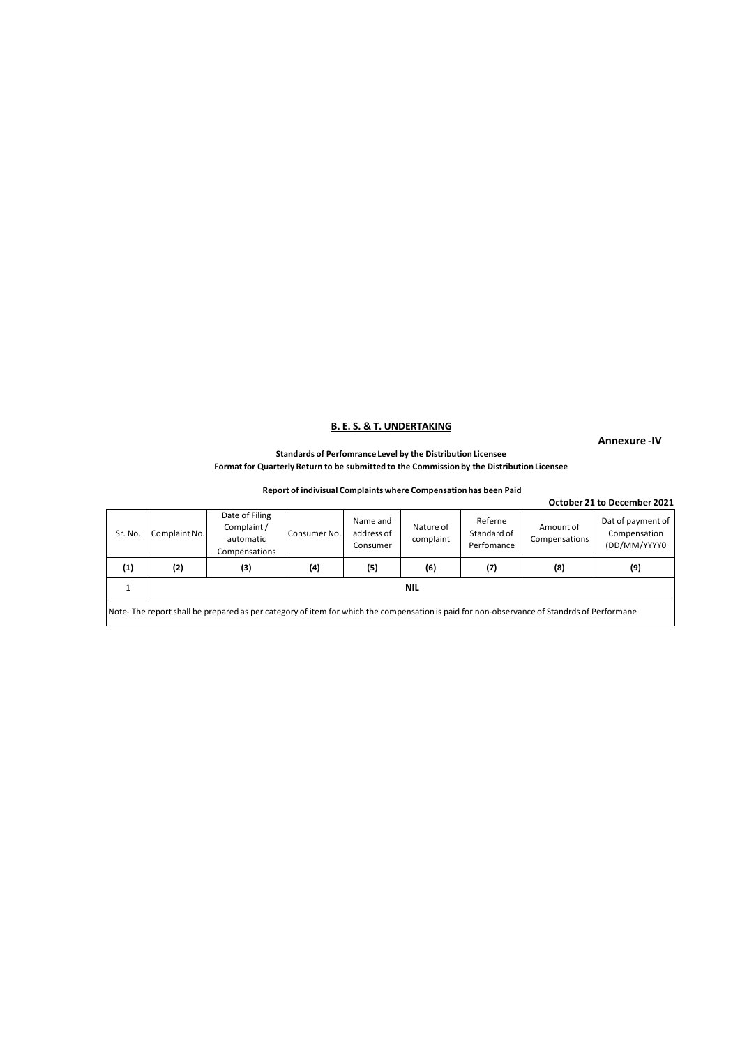**Annexure -IV**

### **Standards of Perfomrance Level by the Distribution Licensee Format for Quarterly Return to be submitted to the Commission by the Distribution Licensee**

## **Report of indivisual Complaints where Compensation has been Paid**

|         |               |                                                                                                                                                  |                   |                                    |                        |                                      |                            | October 21 to December 2021                       |
|---------|---------------|--------------------------------------------------------------------------------------------------------------------------------------------------|-------------------|------------------------------------|------------------------|--------------------------------------|----------------------------|---------------------------------------------------|
| Sr. No. | Complaint No. | Date of Filing<br>Complaint/<br>automatic<br>Compensations                                                                                       | Consumer No.      | Name and<br>address of<br>Consumer | Nature of<br>complaint | Referne<br>Standard of<br>Perfomance | Amount of<br>Compensations | Dat of payment of<br>Compensation<br>(DD/MM/YYYY0 |
| (1)     | (2)           | (3)                                                                                                                                              | $\left( 4\right)$ | (5)                                | (6)                    | (7)                                  | (8)                        | (9)                                               |
|         |               |                                                                                                                                                  |                   |                                    | <b>NIL</b>             |                                      |                            |                                                   |
|         |               | Itlate. The concept chall he means and an extreme of item formulable the commences in moth formed a headquarter of Chamberlands of Declesians of |                   |                                    |                        |                                      |                            |                                                   |

lote- The report shall be prepared as per category of item for which the compensation is paid for non-observance of Standrds of Performane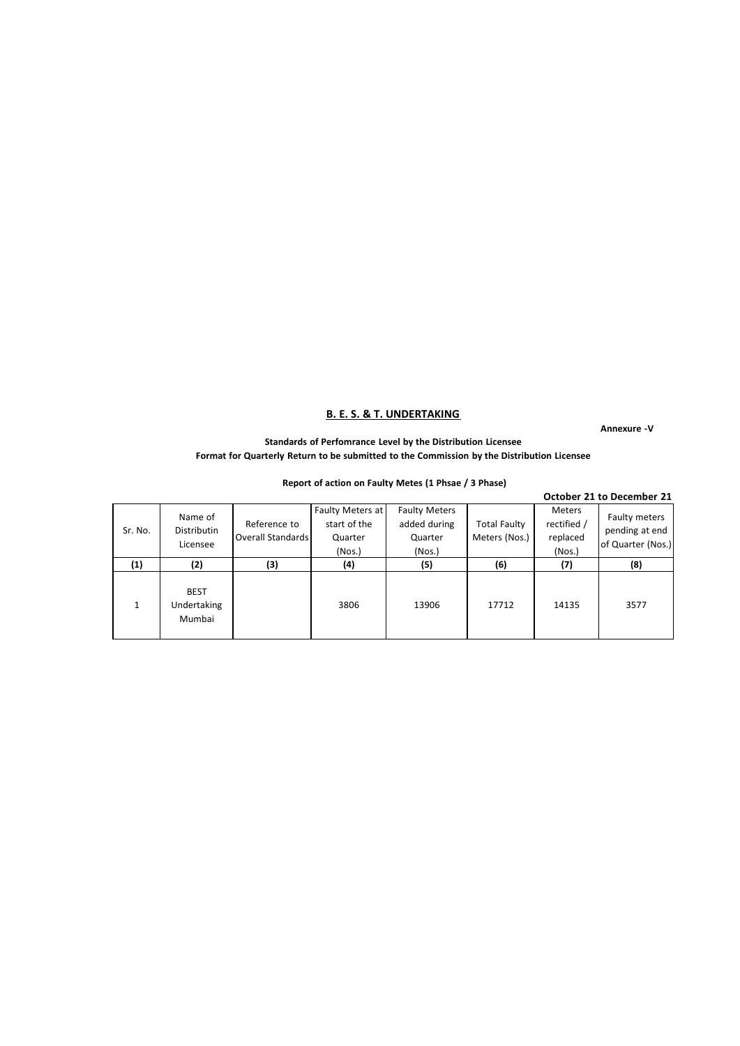**Annexure -V**

## **Standards of Perfomrance Level by the Distribution Licensee Format for Quarterly Return to be submitted to the Commission by the Distribution Licensee**

|         |                                      |                                   |                                                       |                                                           |                                      |                                             | October 21 to December 21                            |
|---------|--------------------------------------|-----------------------------------|-------------------------------------------------------|-----------------------------------------------------------|--------------------------------------|---------------------------------------------|------------------------------------------------------|
| Sr. No. | Name of<br>Distributin<br>Licensee   | Reference to<br>Overall Standards | Faulty Meters at<br>start of the<br>Quarter<br>(Nos.) | <b>Faulty Meters</b><br>added during<br>Quarter<br>(Nos.) | <b>Total Faulty</b><br>Meters (Nos.) | Meters<br>rectified /<br>replaced<br>(Nos.) | Faulty meters<br>pending at end<br>of Quarter (Nos.) |
| (1)     | (2)                                  | (3)                               | (4)                                                   | (5)                                                       | (6)                                  | (7)                                         | (8)                                                  |
|         | <b>BEST</b><br>Undertaking<br>Mumbai |                                   | 3806                                                  | 13906                                                     | 17712                                | 14135                                       | 3577                                                 |